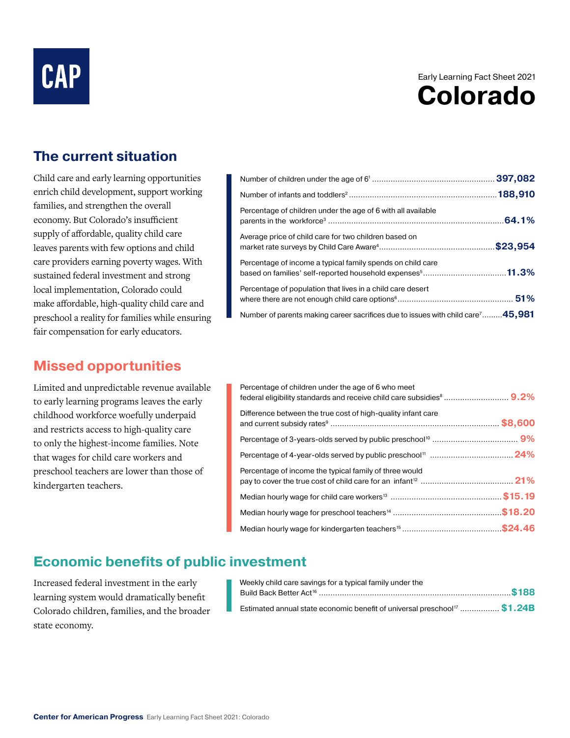# **CAP**

## Early Learning Fact Sheet 2021 **Colorado**

### **The current situation**

Child care and early learning opportunities enrich child development, support working families, and strengthen the overall economy. But Colorado's insufficient supply of affordable, quality child care leaves parents with few options and child care providers earning poverty wages. With sustained federal investment and strong local implementation, Colorado could make affordable, high-quality child care and preschool a reality for families while ensuring fair compensation for early educators.

#### **Missed opportunities**

Limited and unpredictable revenue available to early learning programs leaves the early childhood workforce woefully underpaid and restricts access to high-quality care to only the highest-income families. Note that wages for child care workers and preschool teachers are lower than those of kindergarten teachers.

| Percentage of children under the age of 6 with all available                                                                         |  |
|--------------------------------------------------------------------------------------------------------------------------------------|--|
| Average price of child care for two children based on                                                                                |  |
| Percentage of income a typical family spends on child care<br>based on families' self-reported household expenses <sup>5</sup> 11.3% |  |
| Percentage of population that lives in a child care desert                                                                           |  |
| Number of parents making career sacrifices due to issues with child care <sup>7</sup> 45,981                                         |  |

| Percentage of children under the age of 6 who meet           |
|--------------------------------------------------------------|
| Difference between the true cost of high-quality infant care |
|                                                              |
|                                                              |
| Percentage of income the typical family of three would       |
|                                                              |
|                                                              |
|                                                              |

#### **Economic benefits of public investment**

Increased federal investment in the early learning system would dramatically benefit Colorado children, families, and the broader state economy.

| Weekly child care savings for a typical family under the                             |  |
|--------------------------------------------------------------------------------------|--|
|                                                                                      |  |
| Estimated annual state economic benefit of universal preschool <sup>17</sup> \$1.24B |  |